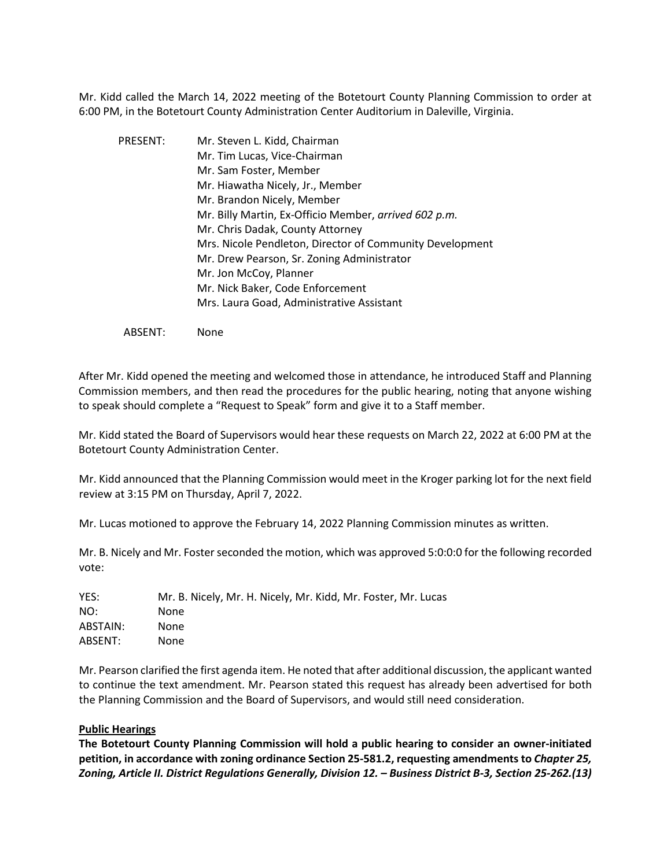Mr. Kidd called the March 14, 2022 meeting of the Botetourt County Planning Commission to order at 6:00 PM, in the Botetourt County Administration Center Auditorium in Daleville, Virginia.

PRESENT: Mr. Steven L. Kidd, Chairman Mr. Tim Lucas, Vice-Chairman Mr. Sam Foster, Member Mr. Hiawatha Nicely, Jr., Member Mr. Brandon Nicely, Member Mr. Billy Martin, Ex-Officio Member, *arrived 602 p.m.* Mr. Chris Dadak, County Attorney Mrs. Nicole Pendleton, Director of Community Development Mr. Drew Pearson, Sr. Zoning Administrator Mr. Jon McCoy, Planner Mr. Nick Baker, Code Enforcement Mrs. Laura Goad, Administrative Assistant

ABSENT: None

After Mr. Kidd opened the meeting and welcomed those in attendance, he introduced Staff and Planning Commission members, and then read the procedures for the public hearing, noting that anyone wishing to speak should complete a "Request to Speak" form and give it to a Staff member.

Mr. Kidd stated the Board of Supervisors would hear these requests on March 22, 2022 at 6:00 PM at the Botetourt County Administration Center.

Mr. Kidd announced that the Planning Commission would meet in the Kroger parking lot for the next field review at 3:15 PM on Thursday, April 7, 2022.

Mr. Lucas motioned to approve the February 14, 2022 Planning Commission minutes as written.

Mr. B. Nicely and Mr. Foster seconded the motion, which was approved 5:0:0:0 for the following recorded vote:

| YES:     | Mr. B. Nicely, Mr. H. Nicely, Mr. Kidd, Mr. Foster, Mr. Lucas |
|----------|---------------------------------------------------------------|
| NO:      | <b>None</b>                                                   |
| ABSTAIN: | None.                                                         |
| ABSENT:  | None                                                          |

Mr. Pearson clarified the first agenda item. He noted that after additional discussion, the applicant wanted to continue the text amendment. Mr. Pearson stated this request has already been advertised for both the Planning Commission and the Board of Supervisors, and would still need consideration.

#### **Public Hearings**

**The Botetourt County Planning Commission will hold a public hearing to consider an owner-initiated petition, in accordance with zoning ordinance Section 25-581.2, requesting amendments to** *Chapter 25, Zoning, Article II. District Regulations Generally, Division 12. – Business District B-3, Section 25-262.(13)*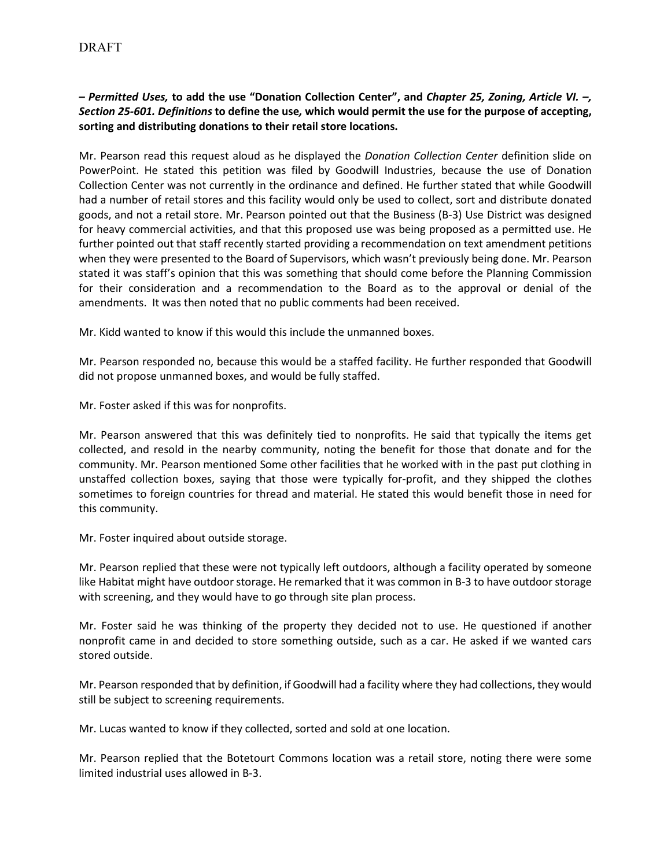# *– Permitted Uses,* **to add the use "Donation Collection Center", and** *Chapter 25, Zoning, Article VI. –, Section 25-601. Definitions* **to define the use***,* **which would permit the use for the purpose of accepting, sorting and distributing donations to their retail store locations.**

Mr. Pearson read this request aloud as he displayed the *Donation Collection Center* definition slide on PowerPoint. He stated this petition was filed by Goodwill Industries, because the use of Donation Collection Center was not currently in the ordinance and defined. He further stated that while Goodwill had a number of retail stores and this facility would only be used to collect, sort and distribute donated goods, and not a retail store. Mr. Pearson pointed out that the Business (B-3) Use District was designed for heavy commercial activities, and that this proposed use was being proposed as a permitted use. He further pointed out that staff recently started providing a recommendation on text amendment petitions when they were presented to the Board of Supervisors, which wasn't previously being done. Mr. Pearson stated it was staff's opinion that this was something that should come before the Planning Commission for their consideration and a recommendation to the Board as to the approval or denial of the amendments. It was then noted that no public comments had been received.

Mr. Kidd wanted to know if this would this include the unmanned boxes.

Mr. Pearson responded no, because this would be a staffed facility. He further responded that Goodwill did not propose unmanned boxes, and would be fully staffed.

Mr. Foster asked if this was for nonprofits.

Mr. Pearson answered that this was definitely tied to nonprofits. He said that typically the items get collected, and resold in the nearby community, noting the benefit for those that donate and for the community. Mr. Pearson mentioned Some other facilities that he worked with in the past put clothing in unstaffed collection boxes, saying that those were typically for-profit, and they shipped the clothes sometimes to foreign countries for thread and material. He stated this would benefit those in need for this community.

Mr. Foster inquired about outside storage.

Mr. Pearson replied that these were not typically left outdoors, although a facility operated by someone like Habitat might have outdoor storage. He remarked that it was common in B-3 to have outdoor storage with screening, and they would have to go through site plan process.

Mr. Foster said he was thinking of the property they decided not to use. He questioned if another nonprofit came in and decided to store something outside, such as a car. He asked if we wanted cars stored outside.

Mr. Pearson responded that by definition, if Goodwill had a facility where they had collections, they would still be subject to screening requirements.

Mr. Lucas wanted to know if they collected, sorted and sold at one location.

Mr. Pearson replied that the Botetourt Commons location was a retail store, noting there were some limited industrial uses allowed in B-3.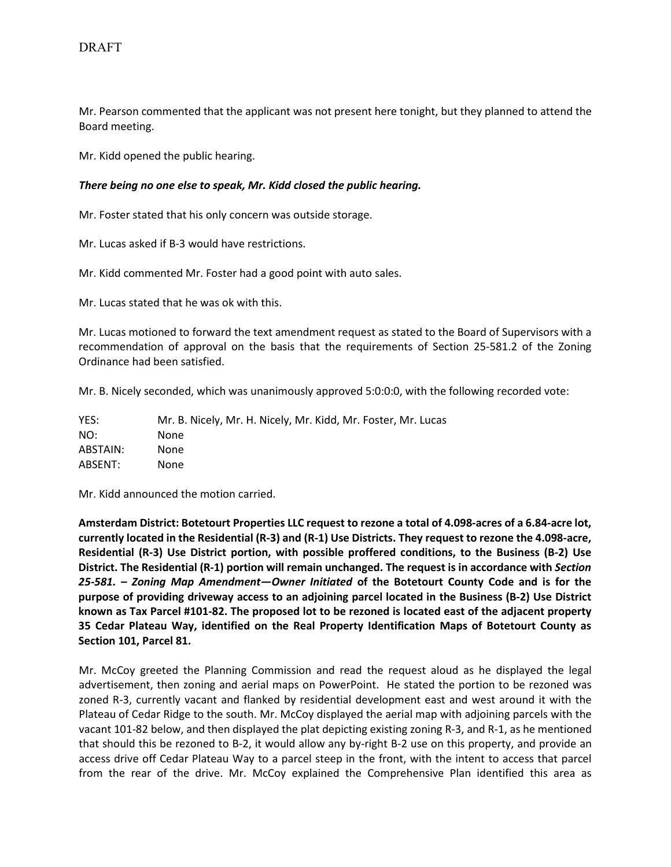Mr. Pearson commented that the applicant was not present here tonight, but they planned to attend the Board meeting.

Mr. Kidd opened the public hearing.

### *There being no one else to speak, Mr. Kidd closed the public hearing.*

Mr. Foster stated that his only concern was outside storage.

Mr. Lucas asked if B-3 would have restrictions.

Mr. Kidd commented Mr. Foster had a good point with auto sales.

Mr. Lucas stated that he was ok with this.

Mr. Lucas motioned to forward the text amendment request as stated to the Board of Supervisors with a recommendation of approval on the basis that the requirements of Section 25-581.2 of the Zoning Ordinance had been satisfied.

Mr. B. Nicely seconded, which was unanimously approved 5:0:0:0, with the following recorded vote:

| YES:     | Mr. B. Nicely, Mr. H. Nicely, Mr. Kidd, Mr. Foster, Mr. Lucas |
|----------|---------------------------------------------------------------|
| NO:      | <b>None</b>                                                   |
| ABSTAIN: | None                                                          |
| ABSENT:  | <b>None</b>                                                   |

Mr. Kidd announced the motion carried.

**Amsterdam District: Botetourt Properties LLC request to rezone a total of 4.098-acres of a 6.84-acre lot, currently located in the Residential (R-3) and (R-1) Use Districts. They request to rezone the 4.098-acre, Residential (R-3) Use District portion, with possible proffered conditions, to the Business (B-2) Use District. The Residential (R-1) portion will remain unchanged. The request is in accordance with** *Section 25-581. – Zoning Map Amendment—Owner Initiated* **of the Botetourt County Code and is for the purpose of providing driveway access to an adjoining parcel located in the Business (B-2) Use District known as Tax Parcel #101-82. The proposed lot to be rezoned is located east of the adjacent property 35 Cedar Plateau Way, identified on the Real Property Identification Maps of Botetourt County as Section 101, Parcel 81.** 

Mr. McCoy greeted the Planning Commission and read the request aloud as he displayed the legal advertisement, then zoning and aerial maps on PowerPoint. He stated the portion to be rezoned was zoned R-3, currently vacant and flanked by residential development east and west around it with the Plateau of Cedar Ridge to the south. Mr. McCoy displayed the aerial map with adjoining parcels with the vacant 101-82 below, and then displayed the plat depicting existing zoning R-3, and R-1, as he mentioned that should this be rezoned to B-2, it would allow any by-right B-2 use on this property, and provide an access drive off Cedar Plateau Way to a parcel steep in the front, with the intent to access that parcel from the rear of the drive. Mr. McCoy explained the Comprehensive Plan identified this area as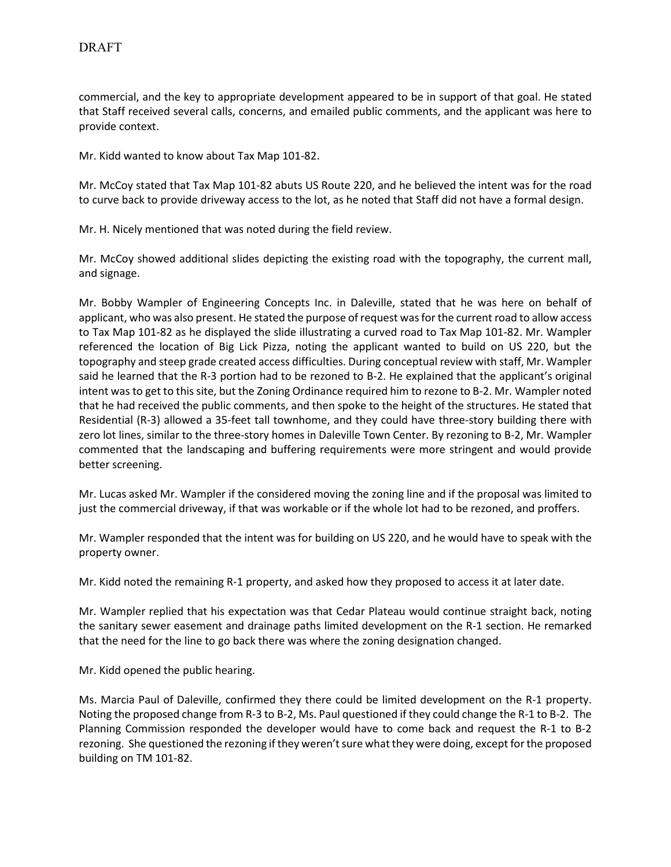commercial, and the key to appropriate development appeared to be in support of that goal. He stated that Staff received several calls, concerns, and emailed public comments, and the applicant was here to provide context.

Mr. Kidd wanted to know about Tax Map 101-82.

Mr. McCoy stated that Tax Map 101-82 abuts US Route 220, and he believed the intent was for the road to curve back to provide driveway access to the lot, as he noted that Staff did not have a formal design.

Mr. H. Nicely mentioned that was noted during the field review.

Mr. McCoy showed additional slides depicting the existing road with the topography, the current mall, and signage.

Mr. Bobby Wampler of Engineering Concepts Inc. in Daleville, stated that he was here on behalf of applicant, who was also present. He stated the purpose of request was for the current road to allow access to Tax Map 101-82 as he displayed the slide illustrating a curved road to Tax Map 101-82. Mr. Wampler referenced the location of Big Lick Pizza, noting the applicant wanted to build on US 220, but the topography and steep grade created access difficulties. During conceptual review with staff, Mr. Wampler said he learned that the R-3 portion had to be rezoned to B-2. He explained that the applicant's original intent was to get to this site, but the Zoning Ordinance required him to rezone to B-2. Mr. Wampler noted that he had received the public comments, and then spoke to the height of the structures. He stated that Residential (R-3) allowed a 35-feet tall townhome, and they could have three-story building there with zero lot lines, similar to the three-story homes in Daleville Town Center. By rezoning to B-2, Mr. Wampler commented that the landscaping and buffering requirements were more stringent and would provide better screening.

Mr. Lucas asked Mr. Wampler if the considered moving the zoning line and if the proposal was limited to just the commercial driveway, if that was workable or if the whole lot had to be rezoned, and proffers.

Mr. Wampler responded that the intent was for building on US 220, and he would have to speak with the property owner.

Mr. Kidd noted the remaining R-1 property, and asked how they proposed to access it at later date.

Mr. Wampler replied that his expectation was that Cedar Plateau would continue straight back, noting the sanitary sewer easement and drainage paths limited development on the R-1 section. He remarked that the need for the line to go back there was where the zoning designation changed.

Mr. Kidd opened the public hearing.

Ms. Marcia Paul of Daleville, confirmed they there could be limited development on the R-1 property. Noting the proposed change from R-3 to B-2, Ms. Paul questioned if they could change the R-1 to B-2. The Planning Commission responded the developer would have to come back and request the R-1 to B-2 rezoning. She questioned the rezoning if they weren't sure what they were doing, except for the proposed building on TM 101-82.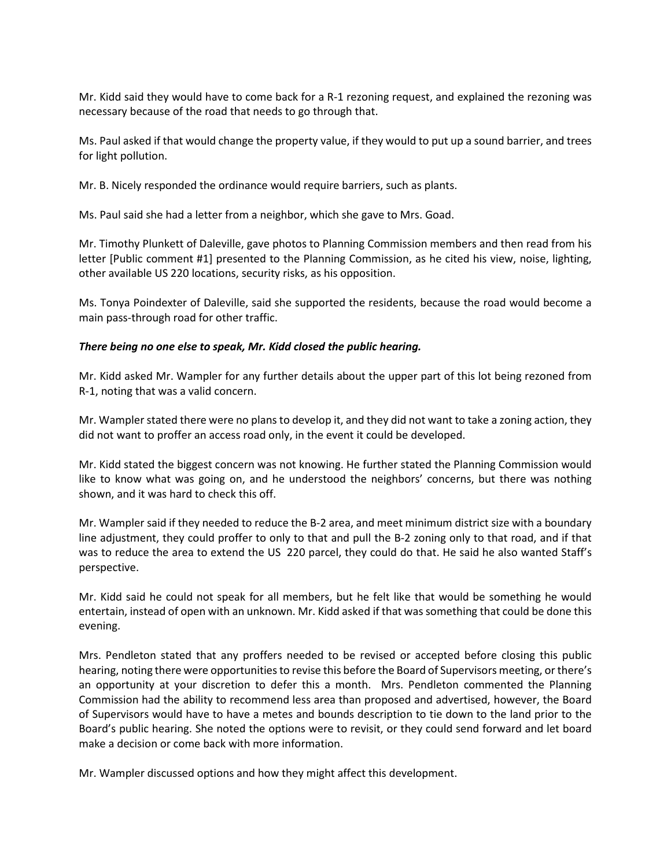Mr. Kidd said they would have to come back for a R-1 rezoning request, and explained the rezoning was necessary because of the road that needs to go through that.

Ms. Paul asked if that would change the property value, if they would to put up a sound barrier, and trees for light pollution.

Mr. B. Nicely responded the ordinance would require barriers, such as plants.

Ms. Paul said she had a letter from a neighbor, which she gave to Mrs. Goad.

Mr. Timothy Plunkett of Daleville, gave photos to Planning Commission members and then read from his letter [Public comment #1] presented to the Planning Commission, as he cited his view, noise, lighting, other available US 220 locations, security risks, as his opposition.

Ms. Tonya Poindexter of Daleville, said she supported the residents, because the road would become a main pass-through road for other traffic.

### *There being no one else to speak, Mr. Kidd closed the public hearing.*

Mr. Kidd asked Mr. Wampler for any further details about the upper part of this lot being rezoned from R-1, noting that was a valid concern.

Mr. Wampler stated there were no plans to develop it, and they did not want to take a zoning action, they did not want to proffer an access road only, in the event it could be developed.

Mr. Kidd stated the biggest concern was not knowing. He further stated the Planning Commission would like to know what was going on, and he understood the neighbors' concerns, but there was nothing shown, and it was hard to check this off.

Mr. Wampler said if they needed to reduce the B-2 area, and meet minimum district size with a boundary line adjustment, they could proffer to only to that and pull the B-2 zoning only to that road, and if that was to reduce the area to extend the US 220 parcel, they could do that. He said he also wanted Staff's perspective.

Mr. Kidd said he could not speak for all members, but he felt like that would be something he would entertain, instead of open with an unknown. Mr. Kidd asked if that was something that could be done this evening.

Mrs. Pendleton stated that any proffers needed to be revised or accepted before closing this public hearing, noting there were opportunities to revise this before the Board of Supervisors meeting, or there's an opportunity at your discretion to defer this a month. Mrs. Pendleton commented the Planning Commission had the ability to recommend less area than proposed and advertised, however, the Board of Supervisors would have to have a metes and bounds description to tie down to the land prior to the Board's public hearing. She noted the options were to revisit, or they could send forward and let board make a decision or come back with more information.

Mr. Wampler discussed options and how they might affect this development.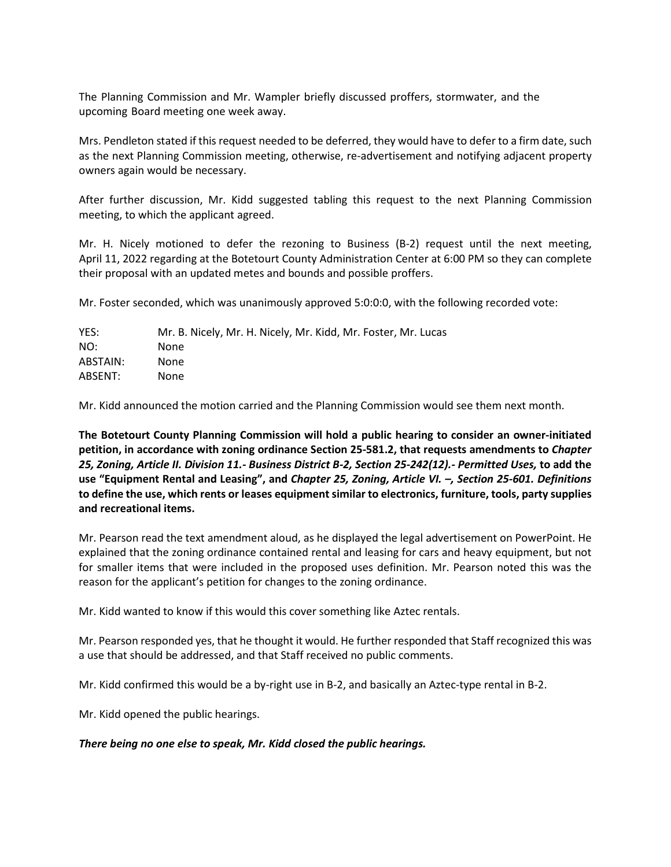The Planning Commission and Mr. Wampler briefly discussed proffers, stormwater, and the upcoming Board meeting one week away.

Mrs. Pendleton stated if this request needed to be deferred, they would have to defer to a firm date, such as the next Planning Commission meeting, otherwise, re-advertisement and notifying adjacent property owners again would be necessary.

After further discussion, Mr. Kidd suggested tabling this request to the next Planning Commission meeting, to which the applicant agreed.

Mr. H. Nicely motioned to defer the rezoning to Business (B-2) request until the next meeting, April 11, 2022 regarding at the Botetourt County Administration Center at 6:00 PM so they can complete their proposal with an updated metes and bounds and possible proffers.

Mr. Foster seconded, which was unanimously approved 5:0:0:0, with the following recorded vote:

| Mr. B. Nicely, Mr. H. Nicely, Mr. Kidd, Mr. Foster, Mr. Lucas |
|---------------------------------------------------------------|
| None                                                          |
| None                                                          |
| None                                                          |
|                                                               |

Mr. Kidd announced the motion carried and the Planning Commission would see them next month.

**The Botetourt County Planning Commission will hold a public hearing to consider an owner-initiated petition, in accordance with zoning ordinance Section 25-581.2, that requests amendments to** *Chapter 25, Zoning, Article II. Division 11.- Business District B-2, Section 25-242(12).- Permitted Uses,* **to add the use "Equipment Rental and Leasing", and** *Chapter 25, Zoning, Article VI. –, Section 25-601. Definitions*  **to define the use, which rents or leases equipment similar to electronics, furniture, tools, party supplies and recreational items.** 

Mr. Pearson read the text amendment aloud, as he displayed the legal advertisement on PowerPoint. He explained that the zoning ordinance contained rental and leasing for cars and heavy equipment, but not for smaller items that were included in the proposed uses definition. Mr. Pearson noted this was the reason for the applicant's petition for changes to the zoning ordinance.

Mr. Kidd wanted to know if this would this cover something like Aztec rentals.

Mr. Pearson responded yes, that he thought it would. He further responded that Staff recognized this was a use that should be addressed, and that Staff received no public comments.

Mr. Kidd confirmed this would be a by-right use in B-2, and basically an Aztec-type rental in B-2.

Mr. Kidd opened the public hearings.

## *There being no one else to speak, Mr. Kidd closed the public hearings.*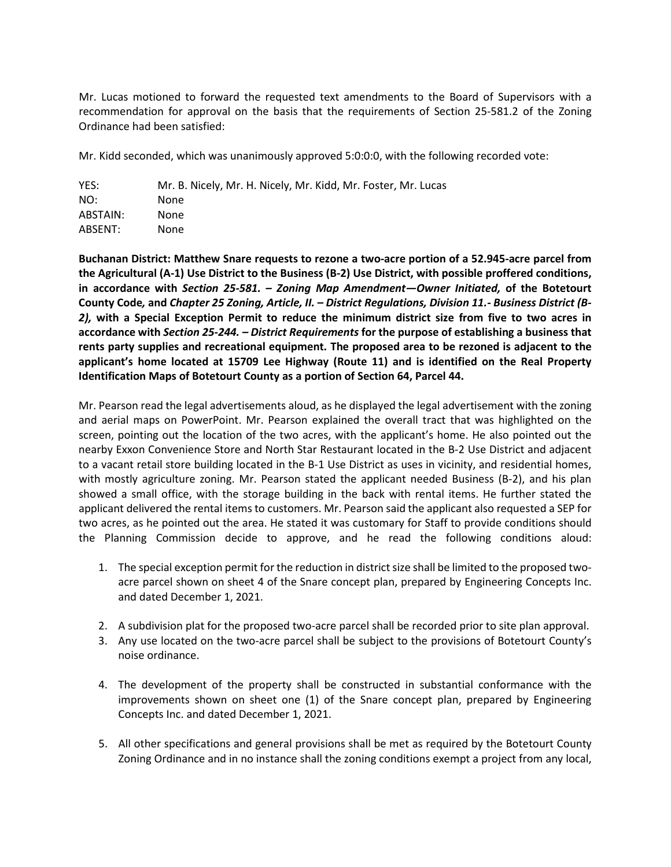Mr. Lucas motioned to forward the requested text amendments to the Board of Supervisors with a recommendation for approval on the basis that the requirements of Section 25-581.2 of the Zoning Ordinance had been satisfied:

Mr. Kidd seconded, which was unanimously approved 5:0:0:0, with the following recorded vote:

| YES:     | Mr. B. Nicely, Mr. H. Nicely, Mr. Kidd, Mr. Foster, Mr. Lucas |
|----------|---------------------------------------------------------------|
| NO:      | None                                                          |
| ABSTAIN: | None.                                                         |
| ABSENT:  | None                                                          |

**Buchanan District: Matthew Snare requests to rezone a two-acre portion of a 52.945-acre parcel from the Agricultural (A-1) Use District to the Business (B-2) Use District, with possible proffered conditions, in accordance with** *Section 25-581. – Zoning Map Amendment—Owner Initiated,* **of the Botetourt County Code***,* **and** *Chapter 25 Zoning, Article, II. – District Regulations, Division 11.- Business District (B-2),* **with a Special Exception Permit to reduce the minimum district size from five to two acres in accordance with** *Section 25-244. – District Requirements* **for the purpose of establishing a business that rents party supplies and recreational equipment. The proposed area to be rezoned is adjacent to the applicant's home located at 15709 Lee Highway (Route 11) and is identified on the Real Property Identification Maps of Botetourt County as a portion of Section 64, Parcel 44.**

Mr. Pearson read the legal advertisements aloud, as he displayed the legal advertisement with the zoning and aerial maps on PowerPoint. Mr. Pearson explained the overall tract that was highlighted on the screen, pointing out the location of the two acres, with the applicant's home. He also pointed out the nearby Exxon Convenience Store and North Star Restaurant located in the B-2 Use District and adjacent to a vacant retail store building located in the B-1 Use District as uses in vicinity, and residential homes, with mostly agriculture zoning. Mr. Pearson stated the applicant needed Business (B-2), and his plan showed a small office, with the storage building in the back with rental items. He further stated the applicant delivered the rental items to customers. Mr. Pearson said the applicant also requested a SEP for two acres, as he pointed out the area. He stated it was customary for Staff to provide conditions should the Planning Commission decide to approve, and he read the following conditions aloud:

- 1. The special exception permit for the reduction in district size shall be limited to the proposed twoacre parcel shown on sheet 4 of the Snare concept plan, prepared by Engineering Concepts Inc. and dated December 1, 2021.
- 2. A subdivision plat for the proposed two-acre parcel shall be recorded prior to site plan approval.
- 3. Any use located on the two-acre parcel shall be subject to the provisions of Botetourt County's noise ordinance.
- 4. The development of the property shall be constructed in substantial conformance with the improvements shown on sheet one (1) of the Snare concept plan, prepared by Engineering Concepts Inc. and dated December 1, 2021.
- 5. All other specifications and general provisions shall be met as required by the Botetourt County Zoning Ordinance and in no instance shall the zoning conditions exempt a project from any local,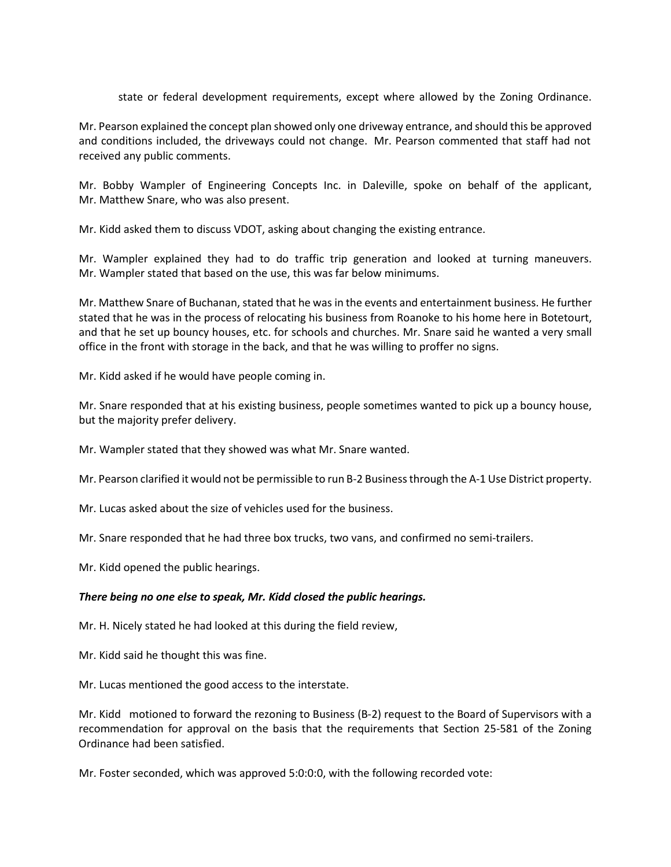state or federal development requirements, except where allowed by the Zoning Ordinance.

Mr. Pearson explained the concept plan showed only one driveway entrance, and should this be approved and conditions included, the driveways could not change. Mr. Pearson commented that staff had not received any public comments.

Mr. Bobby Wampler of Engineering Concepts Inc. in Daleville, spoke on behalf of the applicant, Mr. Matthew Snare, who was also present.

Mr. Kidd asked them to discuss VDOT, asking about changing the existing entrance.

Mr. Wampler explained they had to do traffic trip generation and looked at turning maneuvers. Mr. Wampler stated that based on the use, this was far below minimums.

Mr. Matthew Snare of Buchanan, stated that he was in the events and entertainment business. He further stated that he was in the process of relocating his business from Roanoke to his home here in Botetourt, and that he set up bouncy houses, etc. for schools and churches. Mr. Snare said he wanted a very small office in the front with storage in the back, and that he was willing to proffer no signs.

Mr. Kidd asked if he would have people coming in.

Mr. Snare responded that at his existing business, people sometimes wanted to pick up a bouncy house, but the majority prefer delivery.

Mr. Wampler stated that they showed was what Mr. Snare wanted.

Mr. Pearson clarified it would not be permissible to run B-2 Business through the A-1 Use District property.

Mr. Lucas asked about the size of vehicles used for the business.

Mr. Snare responded that he had three box trucks, two vans, and confirmed no semi-trailers.

Mr. Kidd opened the public hearings.

#### *There being no one else to speak, Mr. Kidd closed the public hearings.*

Mr. H. Nicely stated he had looked at this during the field review,

Mr. Kidd said he thought this was fine.

Mr. Lucas mentioned the good access to the interstate.

Mr. Kidd motioned to forward the rezoning to Business (B-2) request to the Board of Supervisors with a recommendation for approval on the basis that the requirements that Section 25-581 of the Zoning Ordinance had been satisfied.

Mr. Foster seconded, which was approved 5:0:0:0, with the following recorded vote: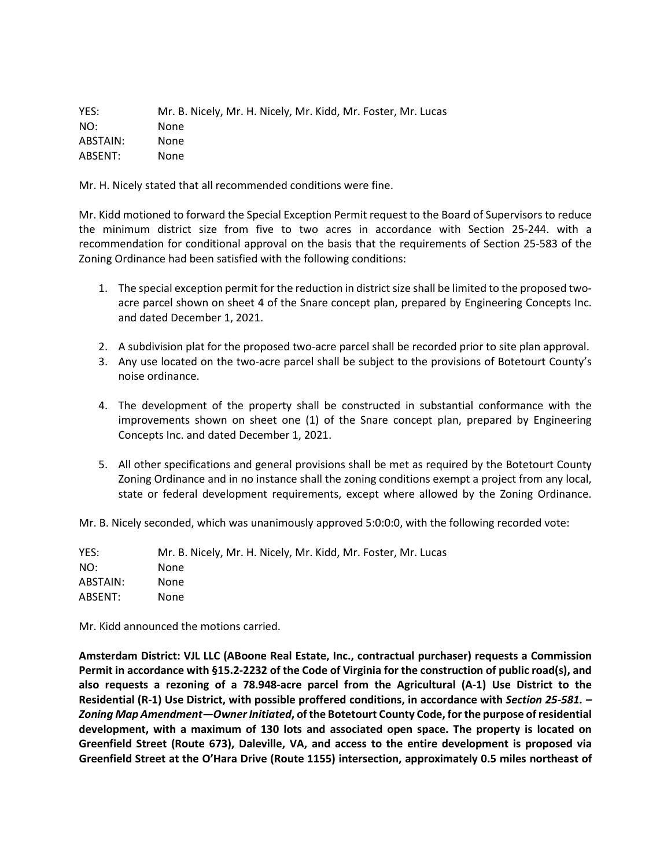YES: Mr. B. Nicely, Mr. H. Nicely, Mr. Kidd, Mr. Foster, Mr. Lucas NO: None ABSTAIN: None ABSENT: None

Mr. H. Nicely stated that all recommended conditions were fine.

Mr. Kidd motioned to forward the Special Exception Permit request to the Board of Supervisors to reduce the minimum district size from five to two acres in accordance with Section 25-244. with a recommendation for conditional approval on the basis that the requirements of Section 25-583 of the Zoning Ordinance had been satisfied with the following conditions:

- 1. The special exception permit for the reduction in district size shall be limited to the proposed twoacre parcel shown on sheet 4 of the Snare concept plan, prepared by Engineering Concepts Inc. and dated December 1, 2021.
- 2. A subdivision plat for the proposed two-acre parcel shall be recorded prior to site plan approval.
- 3. Any use located on the two-acre parcel shall be subject to the provisions of Botetourt County's noise ordinance.
- 4. The development of the property shall be constructed in substantial conformance with the improvements shown on sheet one (1) of the Snare concept plan, prepared by Engineering Concepts Inc. and dated December 1, 2021.
- 5. All other specifications and general provisions shall be met as required by the Botetourt County Zoning Ordinance and in no instance shall the zoning conditions exempt a project from any local, state or federal development requirements, except where allowed by the Zoning Ordinance.

Mr. B. Nicely seconded, which was unanimously approved 5:0:0:0, with the following recorded vote:

YES: Mr. B. Nicely, Mr. H. Nicely, Mr. Kidd, Mr. Foster, Mr. Lucas NO: None ABSTAIN: None ABSENT: None

Mr. Kidd announced the motions carried.

**Amsterdam District: VJL LLC (ABoone Real Estate, Inc., contractual purchaser) requests a Commission Permit in accordance with §15.2-2232 of the Code of Virginia for the construction of public road(s), and also requests a rezoning of a 78.948-acre parcel from the Agricultural (A-1) Use District to the Residential (R-1) Use District, with possible proffered conditions, in accordance with** *Section 25-581. – Zoning Map Amendment—OwnerInitiated***, ofthe Botetourt County Code, for the purpose ofresidential development, with a maximum of 130 lots and associated open space. The property is located on Greenfield Street (Route 673), Daleville, VA, and access to the entire development is proposed via Greenfield Street at the O'Hara Drive (Route 1155) intersection, approximately 0.5 miles northeast of**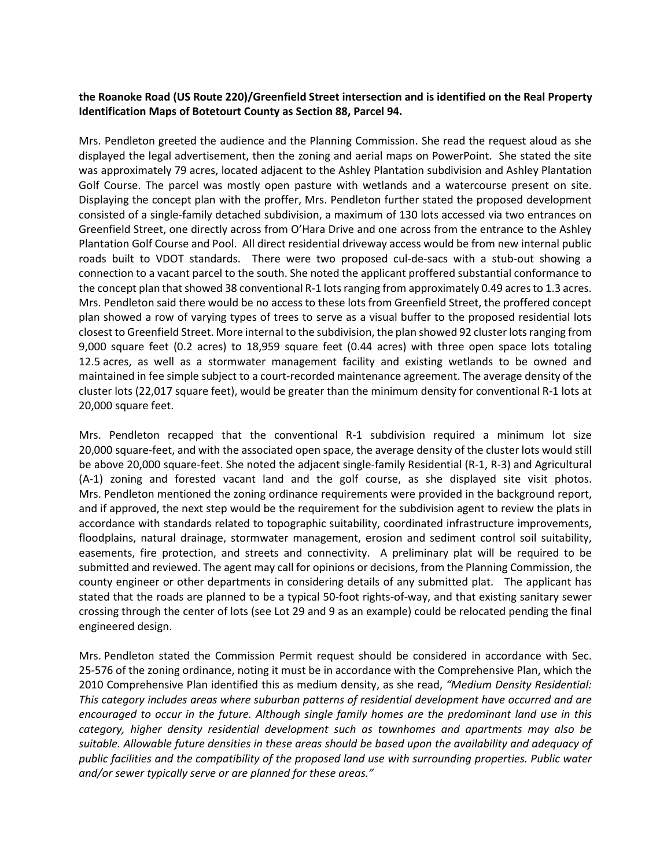## **the Roanoke Road (US Route 220)/Greenfield Street intersection and is identified on the Real Property Identification Maps of Botetourt County as Section 88, Parcel 94.**

Mrs. Pendleton greeted the audience and the Planning Commission. She read the request aloud as she displayed the legal advertisement, then the zoning and aerial maps on PowerPoint. She stated the site was approximately 79 acres, located adjacent to the Ashley Plantation subdivision and Ashley Plantation Golf Course. The parcel was mostly open pasture with wetlands and a watercourse present on site. Displaying the concept plan with the proffer, Mrs. Pendleton further stated the proposed development consisted of a single-family detached subdivision, a maximum of 130 lots accessed via two entrances on Greenfield Street, one directly across from O'Hara Drive and one across from the entrance to the Ashley Plantation Golf Course and Pool. All direct residential driveway access would be from new internal public roads built to VDOT standards. There were two proposed cul-de-sacs with a stub-out showing a connection to a vacant parcel to the south. She noted the applicant proffered substantial conformance to the concept plan that showed 38 conventional R-1 lots ranging from approximately 0.49 acres to 1.3 acres. Mrs. Pendleton said there would be no access to these lots from Greenfield Street, the proffered concept plan showed a row of varying types of trees to serve as a visual buffer to the proposed residential lots closest to Greenfield Street. More internal to the subdivision, the plan showed 92 cluster lots ranging from 9,000 square feet (0.2 acres) to 18,959 square feet (0.44 acres) with three open space lots totaling 12.5 acres, as well as a stormwater management facility and existing wetlands to be owned and maintained in fee simple subject to a court-recorded maintenance agreement. The average density of the cluster lots (22,017 square feet), would be greater than the minimum density for conventional R-1 lots at 20,000 square feet.

Mrs. Pendleton recapped that the conventional R-1 subdivision required a minimum lot size 20,000 square-feet, and with the associated open space, the average density of the cluster lots would still be above 20,000 square-feet. She noted the adjacent single-family Residential (R-1, R-3) and Agricultural (A-1) zoning and forested vacant land and the golf course, as she displayed site visit photos. Mrs. Pendleton mentioned the zoning ordinance requirements were provided in the background report, and if approved, the next step would be the requirement for the subdivision agent to review the plats in accordance with standards related to topographic suitability, coordinated infrastructure improvements, floodplains, natural drainage, stormwater management, erosion and sediment control soil suitability, easements, fire protection, and streets and connectivity. A preliminary plat will be required to be submitted and reviewed. The agent may call for opinions or decisions, from the Planning Commission, the county engineer or other departments in considering details of any submitted plat. The applicant has stated that the roads are planned to be a typical 50-foot rights-of-way, and that existing sanitary sewer crossing through the center of lots (see Lot 29 and 9 as an example) could be relocated pending the final engineered design.

Mrs. Pendleton stated the Commission Permit request should be considered in accordance with Sec. 25-576 of the zoning ordinance, noting it must be in accordance with the Comprehensive Plan, which the 2010 Comprehensive Plan identified this as medium density, as she read, *"Medium Density Residential: This category includes areas where suburban patterns of residential development have occurred and are encouraged to occur in the future. Although single family homes are the predominant land use in this category, higher density residential development such as townhomes and apartments may also be suitable. Allowable future densities in these areas should be based upon the availability and adequacy of public facilities and the compatibility of the proposed land use with surrounding properties. Public water and/or sewer typically serve or are planned for these areas."*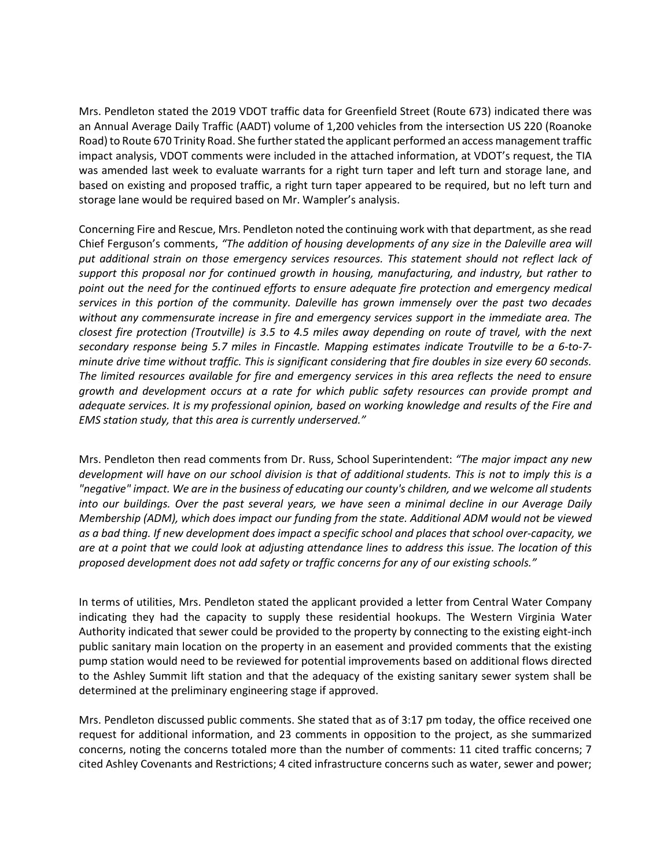Mrs. Pendleton stated the 2019 VDOT traffic data for Greenfield Street (Route 673) indicated there was an Annual Average Daily Traffic (AADT) volume of 1,200 vehicles from the intersection US 220 (Roanoke Road) to Route 670 Trinity Road. She further stated the applicant performed an access management traffic impact analysis, VDOT comments were included in the attached information, at VDOT's request, the TIA was amended last week to evaluate warrants for a right turn taper and left turn and storage lane, and based on existing and proposed traffic, a right turn taper appeared to be required, but no left turn and storage lane would be required based on Mr. Wampler's analysis.

Concerning Fire and Rescue, Mrs. Pendleton noted the continuing work with that department, as she read Chief Ferguson's comments, *"The addition of housing developments of any size in the Daleville area will put additional strain on those emergency services resources. This statement should not reflect lack of support this proposal nor for continued growth in housing, manufacturing, and industry, but rather to point out the need for the continued efforts to ensure adequate fire protection and emergency medical services in this portion of the community. Daleville has grown immensely over the past two decades without any commensurate increase in fire and emergency services support in the immediate area. The closest fire protection (Troutville) is 3.5 to 4.5 miles away depending on route of travel, with the next secondary response being 5.7 miles in Fincastle. Mapping estimates indicate Troutville to be a 6-to-7 minute drive time without traffic. This is significant considering that fire doubles in size every 60 seconds. The limited resources available for fire and emergency services in this area reflects the need to ensure growth and development occurs at a rate for which public safety resources can provide prompt and adequate services. It is my professional opinion, based on working knowledge and results of the Fire and EMS station study, that this area is currently underserved."*

Mrs. Pendleton then read comments from Dr. Russ, School Superintendent: *"The major impact any new* development will have on our school division is that of additional students. This is not to imply this is a *"negative" impact. We are in the business of educating our county's children, and we welcome all students into our buildings. Over the past several years, we have seen a minimal decline in our Average Daily Membership (ADM), which does impact our funding from the state. Additional ADM would not be viewed as a bad thing. If new development does impact a specific school and places that school over-capacity, we are at a point that we could look at adjusting attendance lines to address this issue. The location of this proposed development does not add safety or traffic concerns for any of our existing schools."* 

In terms of utilities, Mrs. Pendleton stated the applicant provided a letter from Central Water Company indicating they had the capacity to supply these residential hookups. The Western Virginia Water Authority indicated that sewer could be provided to the property by connecting to the existing eight-inch public sanitary main location on the property in an easement and provided comments that the existing pump station would need to be reviewed for potential improvements based on additional flows directed to the Ashley Summit lift station and that the adequacy of the existing sanitary sewer system shall be determined at the preliminary engineering stage if approved.

Mrs. Pendleton discussed public comments. She stated that as of 3:17 pm today, the office received one request for additional information, and 23 comments in opposition to the project, as she summarized concerns, noting the concerns totaled more than the number of comments: 11 cited traffic concerns; 7 cited Ashley Covenants and Restrictions; 4 cited infrastructure concerns such as water, sewer and power;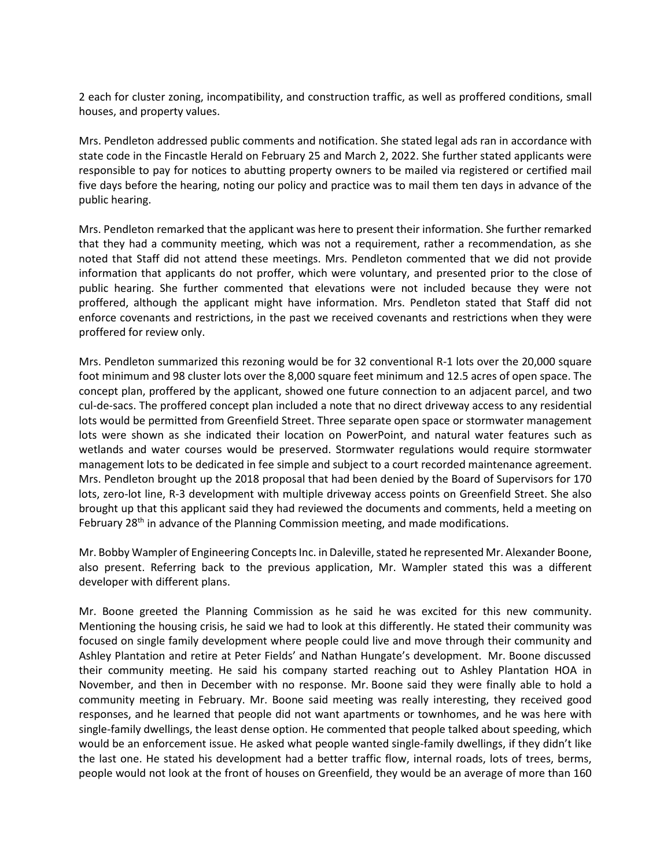2 each for cluster zoning, incompatibility, and construction traffic, as well as proffered conditions, small houses, and property values.

Mrs. Pendleton addressed public comments and notification. She stated legal ads ran in accordance with state code in the Fincastle Herald on February 25 and March 2, 2022. She further stated applicants were responsible to pay for notices to abutting property owners to be mailed via registered or certified mail five days before the hearing, noting our policy and practice was to mail them ten days in advance of the public hearing.

Mrs. Pendleton remarked that the applicant was here to present their information. She further remarked that they had a community meeting, which was not a requirement, rather a recommendation, as she noted that Staff did not attend these meetings. Mrs. Pendleton commented that we did not provide information that applicants do not proffer, which were voluntary, and presented prior to the close of public hearing. She further commented that elevations were not included because they were not proffered, although the applicant might have information. Mrs. Pendleton stated that Staff did not enforce covenants and restrictions, in the past we received covenants and restrictions when they were proffered for review only.

Mrs. Pendleton summarized this rezoning would be for 32 conventional R-1 lots over the 20,000 square foot minimum and 98 cluster lots over the 8,000 square feet minimum and 12.5 acres of open space. The concept plan, proffered by the applicant, showed one future connection to an adjacent parcel, and two cul-de-sacs. The proffered concept plan included a note that no direct driveway access to any residential lots would be permitted from Greenfield Street. Three separate open space or stormwater management lots were shown as she indicated their location on PowerPoint, and natural water features such as wetlands and water courses would be preserved. Stormwater regulations would require stormwater management lots to be dedicated in fee simple and subject to a court recorded maintenance agreement. Mrs. Pendleton brought up the 2018 proposal that had been denied by the Board of Supervisors for 170 lots, zero-lot line, R-3 development with multiple driveway access points on Greenfield Street. She also brought up that this applicant said they had reviewed the documents and comments, held a meeting on February 28<sup>th</sup> in advance of the Planning Commission meeting, and made modifications.

Mr. Bobby Wampler of Engineering Concepts Inc. in Daleville, stated he represented Mr. Alexander Boone, also present. Referring back to the previous application, Mr. Wampler stated this was a different developer with different plans.

Mr. Boone greeted the Planning Commission as he said he was excited for this new community. Mentioning the housing crisis, he said we had to look at this differently. He stated their community was focused on single family development where people could live and move through their community and Ashley Plantation and retire at Peter Fields' and Nathan Hungate's development. Mr. Boone discussed their community meeting. He said his company started reaching out to Ashley Plantation HOA in November, and then in December with no response. Mr. Boone said they were finally able to hold a community meeting in February. Mr. Boone said meeting was really interesting, they received good responses, and he learned that people did not want apartments or townhomes, and he was here with single-family dwellings, the least dense option. He commented that people talked about speeding, which would be an enforcement issue. He asked what people wanted single-family dwellings, if they didn't like the last one. He stated his development had a better traffic flow, internal roads, lots of trees, berms, people would not look at the front of houses on Greenfield, they would be an average of more than 160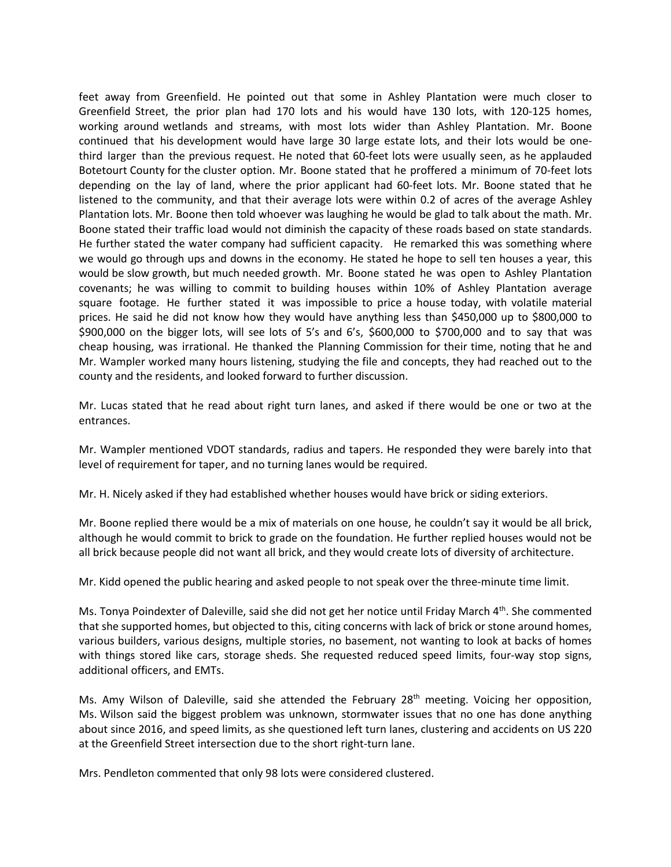feet away from Greenfield. He pointed out that some in Ashley Plantation were much closer to Greenfield Street, the prior plan had 170 lots and his would have 130 lots, with 120-125 homes, working around wetlands and streams, with most lots wider than Ashley Plantation. Mr. Boone continued that his development would have large 30 large estate lots, and their lots would be onethird larger than the previous request. He noted that 60-feet lots were usually seen, as he applauded Botetourt County for the cluster option. Mr. Boone stated that he proffered a minimum of 70-feet lots depending on the lay of land, where the prior applicant had 60-feet lots. Mr. Boone stated that he listened to the community, and that their average lots were within 0.2 of acres of the average Ashley Plantation lots. Mr. Boone then told whoever was laughing he would be glad to talk about the math. Mr. Boone stated their traffic load would not diminish the capacity of these roads based on state standards. He further stated the water company had sufficient capacity. He remarked this was something where we would go through ups and downs in the economy. He stated he hope to sell ten houses a year, this would be slow growth, but much needed growth. Mr. Boone stated he was open to Ashley Plantation covenants; he was willing to commit to building houses within 10% of Ashley Plantation average square footage. He further stated it was impossible to price a house today, with volatile material prices. He said he did not know how they would have anything less than \$450,000 up to \$800,000 to \$900,000 on the bigger lots, will see lots of 5's and 6's, \$600,000 to \$700,000 and to say that was cheap housing, was irrational. He thanked the Planning Commission for their time, noting that he and Mr. Wampler worked many hours listening, studying the file and concepts, they had reached out to the county and the residents, and looked forward to further discussion.

Mr. Lucas stated that he read about right turn lanes, and asked if there would be one or two at the entrances.

Mr. Wampler mentioned VDOT standards, radius and tapers. He responded they were barely into that level of requirement for taper, and no turning lanes would be required.

Mr. H. Nicely asked if they had established whether houses would have brick or siding exteriors.

Mr. Boone replied there would be a mix of materials on one house, he couldn't say it would be all brick, although he would commit to brick to grade on the foundation. He further replied houses would not be all brick because people did not want all brick, and they would create lots of diversity of architecture.

Mr. Kidd opened the public hearing and asked people to not speak over the three-minute time limit.

Ms. Tonya Poindexter of Daleville, said she did not get her notice until Friday March 4<sup>th</sup>. She commented that she supported homes, but objected to this, citing concerns with lack of brick or stone around homes, various builders, various designs, multiple stories, no basement, not wanting to look at backs of homes with things stored like cars, storage sheds. She requested reduced speed limits, four-way stop signs, additional officers, and EMTs.

Ms. Amy Wilson of Daleville, said she attended the February  $28<sup>th</sup>$  meeting. Voicing her opposition, Ms. Wilson said the biggest problem was unknown, stormwater issues that no one has done anything about since 2016, and speed limits, as she questioned left turn lanes, clustering and accidents on US 220 at the Greenfield Street intersection due to the short right-turn lane.

Mrs. Pendleton commented that only 98 lots were considered clustered.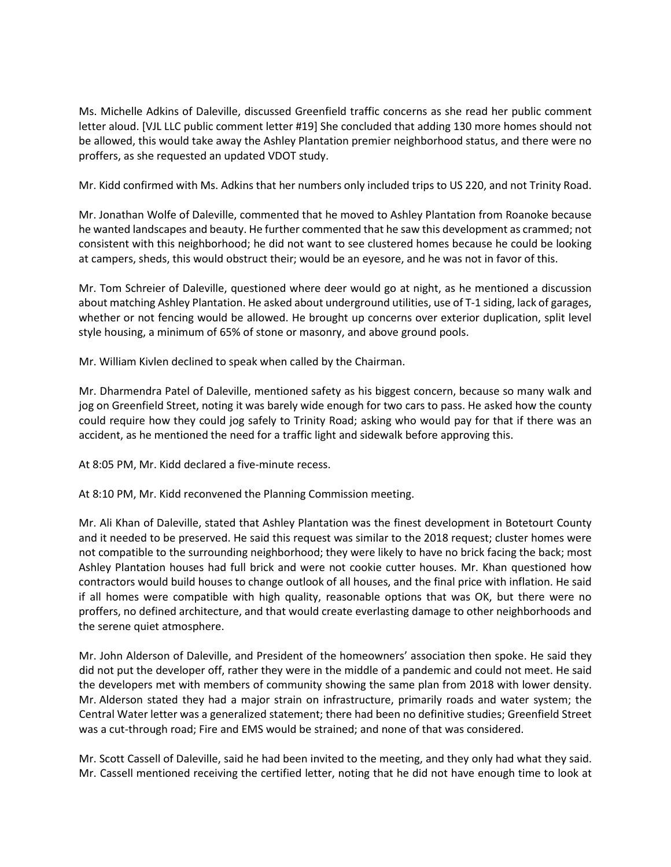Ms. Michelle Adkins of Daleville, discussed Greenfield traffic concerns as she read her public comment letter aloud. [VJL LLC public comment letter #19] She concluded that adding 130 more homes should not be allowed, this would take away the Ashley Plantation premier neighborhood status, and there were no proffers, as she requested an updated VDOT study.

Mr. Kidd confirmed with Ms. Adkins that her numbers only included trips to US 220, and not Trinity Road.

Mr. Jonathan Wolfe of Daleville, commented that he moved to Ashley Plantation from Roanoke because he wanted landscapes and beauty. He further commented that he saw this development as crammed; not consistent with this neighborhood; he did not want to see clustered homes because he could be looking at campers, sheds, this would obstruct their; would be an eyesore, and he was not in favor of this.

Mr. Tom Schreier of Daleville, questioned where deer would go at night, as he mentioned a discussion about matching Ashley Plantation. He asked about underground utilities, use of T-1 siding, lack of garages, whether or not fencing would be allowed. He brought up concerns over exterior duplication, split level style housing, a minimum of 65% of stone or masonry, and above ground pools.

Mr. William Kivlen declined to speak when called by the Chairman.

Mr. Dharmendra Patel of Daleville, mentioned safety as his biggest concern, because so many walk and jog on Greenfield Street, noting it was barely wide enough for two cars to pass. He asked how the county could require how they could jog safely to Trinity Road; asking who would pay for that if there was an accident, as he mentioned the need for a traffic light and sidewalk before approving this.

At 8:05 PM, Mr. Kidd declared a five-minute recess.

At 8:10 PM, Mr. Kidd reconvened the Planning Commission meeting.

Mr. Ali Khan of Daleville, stated that Ashley Plantation was the finest development in Botetourt County and it needed to be preserved. He said this request was similar to the 2018 request; cluster homes were not compatible to the surrounding neighborhood; they were likely to have no brick facing the back; most Ashley Plantation houses had full brick and were not cookie cutter houses. Mr. Khan questioned how contractors would build houses to change outlook of all houses, and the final price with inflation. He said if all homes were compatible with high quality, reasonable options that was OK, but there were no proffers, no defined architecture, and that would create everlasting damage to other neighborhoods and the serene quiet atmosphere.

Mr. John Alderson of Daleville, and President of the homeowners' association then spoke. He said they did not put the developer off, rather they were in the middle of a pandemic and could not meet. He said the developers met with members of community showing the same plan from 2018 with lower density. Mr. Alderson stated they had a major strain on infrastructure, primarily roads and water system; the Central Water letter was a generalized statement; there had been no definitive studies; Greenfield Street was a cut-through road; Fire and EMS would be strained; and none of that was considered.

Mr. Scott Cassell of Daleville, said he had been invited to the meeting, and they only had what they said. Mr. Cassell mentioned receiving the certified letter, noting that he did not have enough time to look at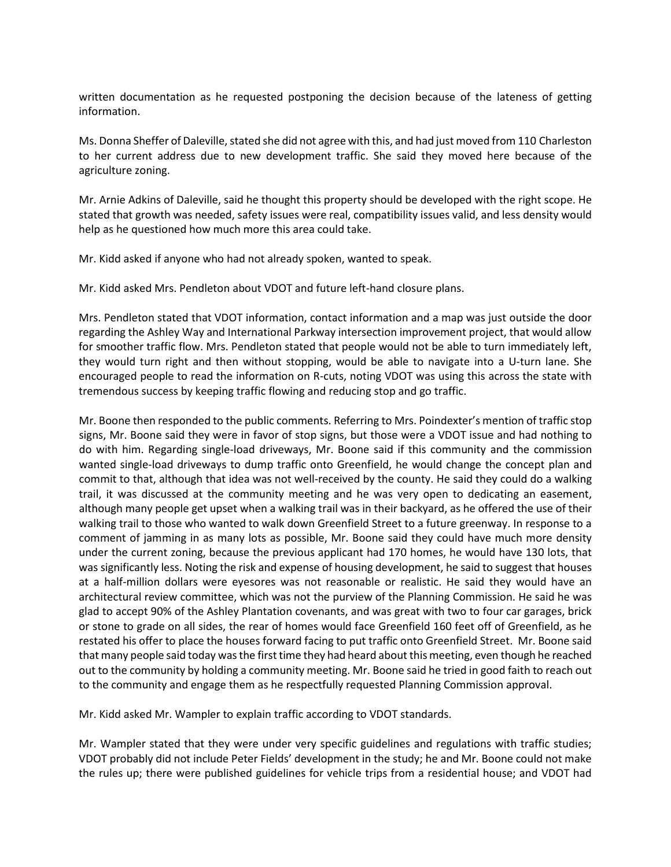written documentation as he requested postponing the decision because of the lateness of getting information.

Ms. Donna Sheffer of Daleville, stated she did not agree with this, and had just moved from 110 Charleston to her current address due to new development traffic. She said they moved here because of the agriculture zoning.

Mr. Arnie Adkins of Daleville, said he thought this property should be developed with the right scope. He stated that growth was needed, safety issues were real, compatibility issues valid, and less density would help as he questioned how much more this area could take.

Mr. Kidd asked if anyone who had not already spoken, wanted to speak.

Mr. Kidd asked Mrs. Pendleton about VDOT and future left-hand closure plans.

Mrs. Pendleton stated that VDOT information, contact information and a map was just outside the door regarding the Ashley Way and International Parkway intersection improvement project, that would allow for smoother traffic flow. Mrs. Pendleton stated that people would not be able to turn immediately left, they would turn right and then without stopping, would be able to navigate into a U-turn lane. She encouraged people to read the information on R-cuts, noting VDOT was using this across the state with tremendous success by keeping traffic flowing and reducing stop and go traffic.

Mr. Boone then responded to the public comments. Referring to Mrs. Poindexter's mention of traffic stop signs, Mr. Boone said they were in favor of stop signs, but those were a VDOT issue and had nothing to do with him. Regarding single-load driveways, Mr. Boone said if this community and the commission wanted single-load driveways to dump traffic onto Greenfield, he would change the concept plan and commit to that, although that idea was not well-received by the county. He said they could do a walking trail, it was discussed at the community meeting and he was very open to dedicating an easement, although many people get upset when a walking trail was in their backyard, as he offered the use of their walking trail to those who wanted to walk down Greenfield Street to a future greenway. In response to a comment of jamming in as many lots as possible, Mr. Boone said they could have much more density under the current zoning, because the previous applicant had 170 homes, he would have 130 lots, that was significantly less. Noting the risk and expense of housing development, he said to suggest that houses at a half-million dollars were eyesores was not reasonable or realistic. He said they would have an architectural review committee, which was not the purview of the Planning Commission. He said he was glad to accept 90% of the Ashley Plantation covenants, and was great with two to four car garages, brick or stone to grade on all sides, the rear of homes would face Greenfield 160 feet off of Greenfield, as he restated his offer to place the houses forward facing to put traffic onto Greenfield Street. Mr. Boone said that many people said today wasthe firsttime they had heard about this meeting, even though he reached out to the community by holding a community meeting. Mr. Boone said he tried in good faith to reach out to the community and engage them as he respectfully requested Planning Commission approval.

Mr. Kidd asked Mr. Wampler to explain traffic according to VDOT standards.

Mr. Wampler stated that they were under very specific guidelines and regulations with traffic studies; VDOT probably did not include Peter Fields' development in the study; he and Mr. Boone could not make the rules up; there were published guidelines for vehicle trips from a residential house; and VDOT had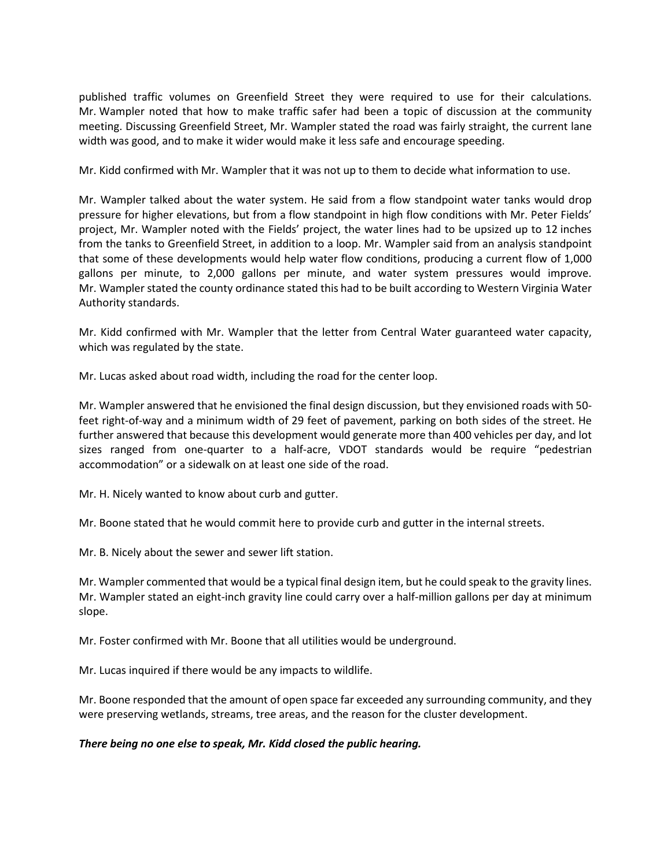published traffic volumes on Greenfield Street they were required to use for their calculations. Mr. Wampler noted that how to make traffic safer had been a topic of discussion at the community meeting. Discussing Greenfield Street, Mr. Wampler stated the road was fairly straight, the current lane width was good, and to make it wider would make it less safe and encourage speeding.

Mr. Kidd confirmed with Mr. Wampler that it was not up to them to decide what information to use.

Mr. Wampler talked about the water system. He said from a flow standpoint water tanks would drop pressure for higher elevations, but from a flow standpoint in high flow conditions with Mr. Peter Fields' project, Mr. Wampler noted with the Fields' project, the water lines had to be upsized up to 12 inches from the tanks to Greenfield Street, in addition to a loop. Mr. Wampler said from an analysis standpoint that some of these developments would help water flow conditions, producing a current flow of 1,000 gallons per minute, to 2,000 gallons per minute, and water system pressures would improve. Mr. Wampler stated the county ordinance stated this had to be built according to Western Virginia Water Authority standards.

Mr. Kidd confirmed with Mr. Wampler that the letter from Central Water guaranteed water capacity, which was regulated by the state.

Mr. Lucas asked about road width, including the road for the center loop.

Mr. Wampler answered that he envisioned the final design discussion, but they envisioned roads with 50 feet right-of-way and a minimum width of 29 feet of pavement, parking on both sides of the street. He further answered that because this development would generate more than 400 vehicles per day, and lot sizes ranged from one-quarter to a half-acre, VDOT standards would be require "pedestrian accommodation" or a sidewalk on at least one side of the road.

Mr. H. Nicely wanted to know about curb and gutter.

Mr. Boone stated that he would commit here to provide curb and gutter in the internal streets.

Mr. B. Nicely about the sewer and sewer lift station.

Mr. Wampler commented that would be a typical final design item, but he could speak to the gravity lines. Mr. Wampler stated an eight-inch gravity line could carry over a half-million gallons per day at minimum slope.

Mr. Foster confirmed with Mr. Boone that all utilities would be underground.

Mr. Lucas inquired if there would be any impacts to wildlife.

Mr. Boone responded that the amount of open space far exceeded any surrounding community, and they were preserving wetlands, streams, tree areas, and the reason for the cluster development.

## *There being no one else to speak, Mr. Kidd closed the public hearing.*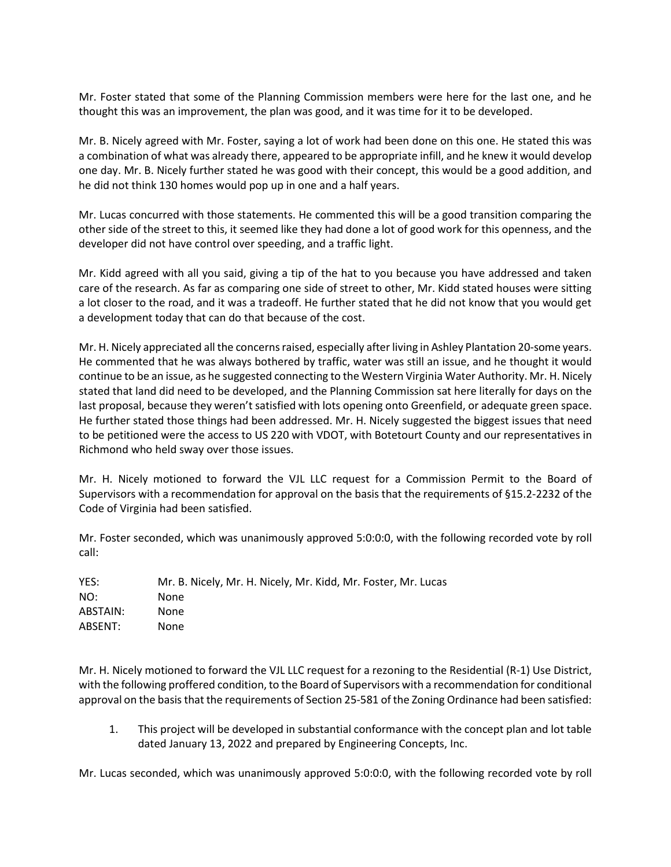Mr. Foster stated that some of the Planning Commission members were here for the last one, and he thought this was an improvement, the plan was good, and it was time for it to be developed.

Mr. B. Nicely agreed with Mr. Foster, saying a lot of work had been done on this one. He stated this was a combination of what was already there, appeared to be appropriate infill, and he knew it would develop one day. Mr. B. Nicely further stated he was good with their concept, this would be a good addition, and he did not think 130 homes would pop up in one and a half years.

Mr. Lucas concurred with those statements. He commented this will be a good transition comparing the other side of the street to this, it seemed like they had done a lot of good work for this openness, and the developer did not have control over speeding, and a traffic light.

Mr. Kidd agreed with all you said, giving a tip of the hat to you because you have addressed and taken care of the research. As far as comparing one side of street to other, Mr. Kidd stated houses were sitting a lot closer to the road, and it was a tradeoff. He further stated that he did not know that you would get a development today that can do that because of the cost.

Mr. H. Nicely appreciated all the concerns raised, especially after living in Ashley Plantation 20-some years. He commented that he was always bothered by traffic, water was still an issue, and he thought it would continue to be an issue, as he suggested connecting to the Western Virginia Water Authority. Mr. H. Nicely stated that land did need to be developed, and the Planning Commission sat here literally for days on the last proposal, because they weren't satisfied with lots opening onto Greenfield, or adequate green space. He further stated those things had been addressed. Mr. H. Nicely suggested the biggest issues that need to be petitioned were the access to US 220 with VDOT, with Botetourt County and our representatives in Richmond who held sway over those issues.

Mr. H. Nicely motioned to forward the VJL LLC request for a Commission Permit to the Board of Supervisors with a recommendation for approval on the basis that the requirements of §15.2-2232 of the Code of Virginia had been satisfied.

Mr. Foster seconded, which was unanimously approved 5:0:0:0, with the following recorded vote by roll call:

| Mr. B. Nicely, Mr. H. Nicely, Mr. Kidd, Mr. Foster, Mr. Lucas |
|---------------------------------------------------------------|
| None                                                          |
| None                                                          |
| None.                                                         |
|                                                               |

Mr. H. Nicely motioned to forward the VJL LLC request for a rezoning to the Residential (R-1) Use District, with the following proffered condition, to the Board of Supervisors with a recommendation for conditional approval on the basisthat the requirements of Section 25-581 of the Zoning Ordinance had been satisfied:

1. This project will be developed in substantial conformance with the concept plan and lot table dated January 13, 2022 and prepared by Engineering Concepts, Inc.

Mr. Lucas seconded, which was unanimously approved 5:0:0:0, with the following recorded vote by roll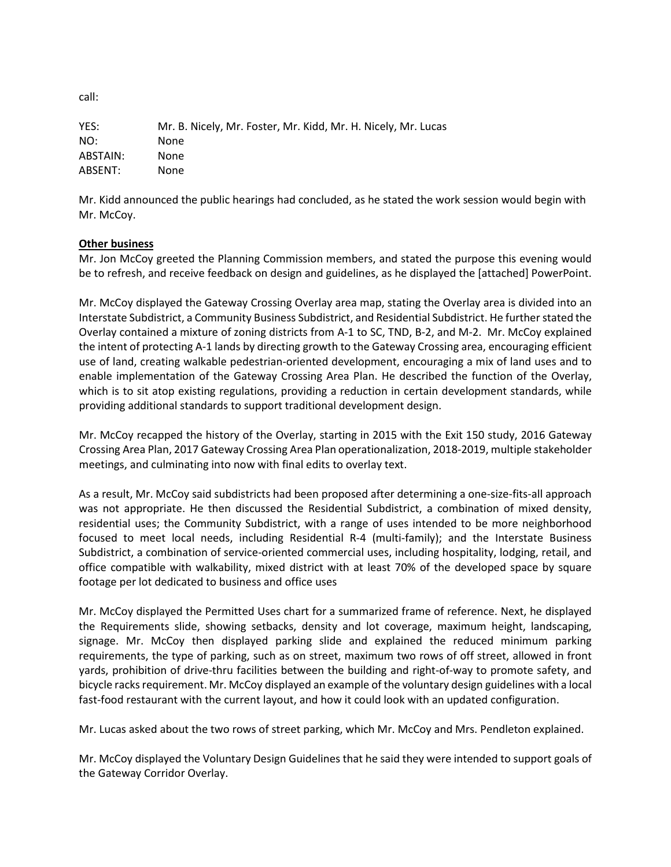YES: Mr. B. Nicely, Mr. Foster, Mr. Kidd, Mr. H. Nicely, Mr. Lucas NO: None ABSTAIN: None ABSENT: None

Mr. Kidd announced the public hearings had concluded, as he stated the work session would begin with Mr. McCoy.

## **Other business**

Mr. Jon McCoy greeted the Planning Commission members, and stated the purpose this evening would be to refresh, and receive feedback on design and guidelines, as he displayed the [attached] PowerPoint.

Mr. McCoy displayed the Gateway Crossing Overlay area map, stating the Overlay area is divided into an Interstate Subdistrict, a Community Business Subdistrict, and Residential Subdistrict. He furtherstated the Overlay contained a mixture of zoning districts from A-1 to SC, TND, B-2, and M-2. Mr. McCoy explained the intent of protecting A-1 lands by directing growth to the Gateway Crossing area, encouraging efficient use of land, creating walkable pedestrian-oriented development, encouraging a mix of land uses and to enable implementation of the Gateway Crossing Area Plan. He described the function of the Overlay, which is to sit atop existing regulations, providing a reduction in certain development standards, while providing additional standards to support traditional development design.

Mr. McCoy recapped the history of the Overlay, starting in 2015 with the Exit 150 study, 2016 Gateway Crossing Area Plan, 2017 Gateway Crossing Area Plan operationalization, 2018-2019, multiple stakeholder meetings, and culminating into now with final edits to overlay text.

As a result, Mr. McCoy said subdistricts had been proposed after determining a one-size-fits-all approach was not appropriate. He then discussed the Residential Subdistrict, a combination of mixed density, residential uses; the Community Subdistrict, with a range of uses intended to be more neighborhood focused to meet local needs, including Residential R-4 (multi-family); and the Interstate Business Subdistrict, a combination of service-oriented commercial uses, including hospitality, lodging, retail, and office compatible with walkability, mixed district with at least 70% of the developed space by square footage per lot dedicated to business and office uses

Mr. McCoy displayed the Permitted Uses chart for a summarized frame of reference. Next, he displayed the Requirements slide, showing setbacks, density and lot coverage, maximum height, landscaping, signage. Mr. McCoy then displayed parking slide and explained the reduced minimum parking requirements, the type of parking, such as on street, maximum two rows of off street, allowed in front yards, prohibition of drive-thru facilities between the building and right-of-way to promote safety, and bicycle racks requirement. Mr. McCoy displayed an example of the voluntary design guidelines with a local fast-food restaurant with the current layout, and how it could look with an updated configuration.

Mr. Lucas asked about the two rows of street parking, which Mr. McCoy and Mrs. Pendleton explained.

Mr. McCoy displayed the Voluntary Design Guidelines that he said they were intended to support goals of the Gateway Corridor Overlay.

call: